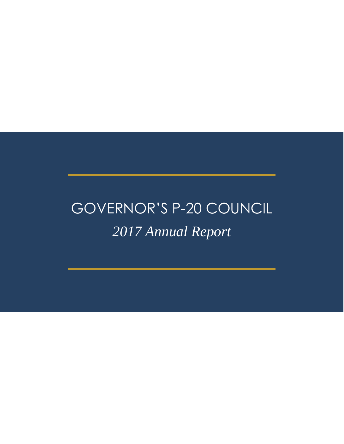# GOVERNOR'S P-20 COUNCIL *2017 Annual Report*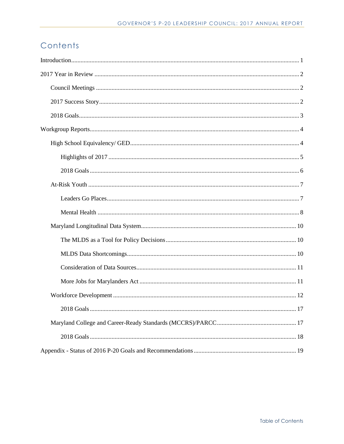# Contents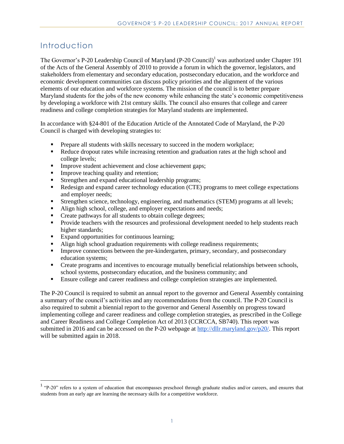# Introduction

l

The Governor's P-20 Leadership Council of Maryland (P-20 Council)<sup>1</sup> was authorized under Chapter 191 of the Acts of the General Assembly of 2010 to provide a forum in which the governor, legislators, and stakeholders from elementary and secondary education, postsecondary education, and the workforce and economic development communities can discuss policy priorities and the alignment of the various elements of our education and workforce systems. The mission of the council is to better prepare Maryland students for the jobs of the new economy while enhancing the state's economic competitiveness by developing a workforce with 21st century skills. The council also ensures that college and career readiness and college completion strategies for Maryland students are implemented.

In accordance with §24-801 of the Education Article of the Annotated Code of Maryland, the P-20 Council is charged with developing strategies to:

- Prepare all students with skills necessary to succeed in the modern workplace;
- Reduce dropout rates while increasing retention and graduation rates at the high school and college levels;
- **Improve student achievement and close achievement gaps;**
- Improve teaching quality and retention;
- **Strengthen and expand educational leadership programs;**
- Redesign and expand career technology education (CTE) programs to meet college expectations and employer needs;
- Strengthen science, technology, engineering, and mathematics (STEM) programs at all levels;
- Align high school, college, and employer expectations and needs;
- Create pathways for all students to obtain college degrees;
- **Provide teachers with the resources and professional development needed to help students reach** higher standards;
- Expand opportunities for continuous learning;
- Align high school graduation requirements with college readiness requirements;
- Improve connections between the pre-kindergarten, primary, secondary, and postsecondary education systems;
- **•** Create programs and incentives to encourage mutually beneficial relationships between schools, school systems, postsecondary education, and the business community; and
- Ensure college and career readiness and college completion strategies are implemented.

The P-20 Council is required to submit an annual report to the governor and General Assembly containing a summary of the council's activities and any recommendations from the council. The P-20 Council is also required to submit a biennial report to the governor and General Assembly on progress toward implementing college and career readiness and college completion strategies, as prescribed in the College and Career Readiness and College Completion Act of 2013 (CCRCCA, SB740). This report was submitted in 2016 and can be accessed on the P-20 webpage at [http://dllr.maryland.gov/p20/.](http://dllr.maryland.gov/p20/) This report will be submitted again in 2018.

 $1$  "P-20" refers to a system of education that encompasses preschool through graduate studies and/or careers, and ensures that students from an early age are learning the necessary skills for a competitive workforce.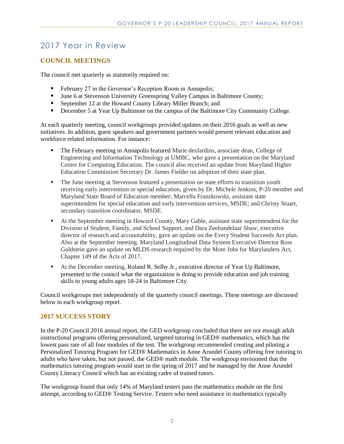# 2017 Year in Review

### **COUNCIL MEETINGS**

The council met quarterly as statutorily required on:

- February 27 in the Governor's Reception Room in Annapolis;
- June 6 at Stevenson University Greenspring Valley Campus in Baltimore County;
- September 12 at the Howard County Library Miller Branch; and
- December 5 at Year Up Baltimore on the campus of the Baltimore City Community College.

At each quarterly meeting, council workgroups provided updates on their 2016 goals as well as new initiatives. In addition, guest speakers and government partners would present relevant education and workforce related information. For instance:

- The February meeting in Annapolis featured Marie desJardins, associate dean, College of Engineering and Information Technology at UMBC, who gave a presentation on the Maryland Center for Computing Education. The council also received an update from Maryland Higher Education Commission Secretary Dr. James Fielder on adoption of their state plan.
- The June meeting at Stevenson featured a presentation on state efforts to transition youth receiving early intervention or special education, given by Dr. Michele Jenkins, P-20 member and Maryland State Board of Education member; Marcella Franzkowski, assistant state superintendent for special education and early intervention services, MSDE; and Christy Stuart, secondary transition coordinator, MSDE.
- At the September meeting in Howard County, Mary Gable, assistant state superintendent for the Division of Student, Family, and School Support, and Dara Zeehandelaar Shaw, executive director of research and accountability, gave an update on the Every Student Succeeds Act plan. Also at the September meeting. Maryland Longitudinal Data System Executive Director Ross Goldstein gave an update on MLDS research required by the More Jobs for Marylanders Act, Chapter 149 of the Acts of 2017.
- At the December meeting, Roland R. Selby Jr., executive director of Year Up Baltimore, presented to the council what the organization is doing to provide education and job training skills to young adults ages 18-24 in Baltimore City.

Council workgroups met independently of the quarterly council meetings. These meetings are discussed below in each workgroup report.

#### **2017 SUCCESS STORY**

In the P-20 Council 2016 annual report, the GED workgroup concluded that there are not enough adult instructional programs offering personalized, targeted tutoring in GED® mathematics, which has the lowest pass rate of all four modules of the test. The workgroup recommended creating and piloting a Personalized Tutoring Program for GED® Mathematics in Anne Arundel County offering free tutoring to adults who have taken, but not passed, the GED® math module. The workgroup envisioned that the mathematics tutoring program would start in the spring of 2017 and be managed by the Anne Arundel County Literacy Council which has an existing cadre of trained tutors.

The workgroup found that only 14% of Maryland testers pass the mathematics module on the first attempt, according to GED® Testing Service. Testers who need assistance in mathematics typically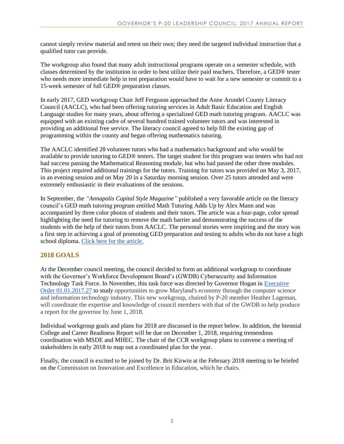cannot simply review material and retest on their own; they need the targeted individual instruction that a qualified tutor can provide.

The workgroup also found that many adult instructional programs operate on a semester schedule, with classes determined by the institution in order to best utilize their paid teachers. Therefore, a GED® tester who needs more immediate help in test preparation would have to wait for a new semester or commit to a 15-week semester of full GED® preparation classes.

In early 2017, GED workgroup Chair Jeff Ferguson approached the Anne Arundel County Literacy Council (AACLC), who had been offering tutoring services in Adult Basic Education and English Language studies for many years, about offering a specialized GED math tutoring program. AACLC was equipped with an existing cadre of several hundred trained volunteer tutors and was interested in providing an additional free service. The literacy council agreed to help fill the existing gap of programming within the county and began offering mathematics tutoring.

The AACLC identified 28 volunteer tutors who had a mathematics background and who would be available to provide tutoring to GED® testers. The target student for this program was testers who had not had success passing the Mathematical Reasoning module, but who had passed the other three modules. This project required additional trainings for the tutors. Training for tutors was provided on May 3, 2017, in an evening session and on May 20 in a Saturday morning session. Over 25 tutors attended and were extremely enthusiastic in their evaluations of the sessions.

In September, the *"Annapolis Capital Style Magazine"* published a very favorable article on the literacy council's GED math tutoring program entitled Math Tutoring Adds Up by Alex Mann and was accompanied by three color photos of students and their tutors. The article was a four-page, color spread highlighting the need for tutoring to remove the math barrier and demonstrating the success of the students with the help of their tutors from AACLC. The personal stories were inspiring and the story was a first step in achieving a goal of promoting GED preparation and testing to adults who do not have a high school diploma. Click here for the article.

#### **2018 GOALS**

At the December council meeting, the council decided to form an additional workgroup to coordinate with the Governor's Workforce Development Board's (GWDB) Cybersecurity and Information Technology Task Force. In November, this task force was directed by Governor Hogan in Executive [Order 01.01.2017.27](https://content.govdelivery.com/attachments/MDGOV/2017/11/02/file_attachments/907094/Executive%2BOrder%2B01.01.2017.27.pdf) to study opportunities to grow Maryland's economy through the computer science and information technology industry. This new workgroup, chaired by P-20 member Heather Lageman, will coordinate the expertise and knowledge of council members with that of the GWDB to help produce a report for the governor by June 1, 2018.

Individual workgroup goals and plans for 2018 are discussed in the report below. In addition, the biennial College and Career Readiness Report will be due on December 1, 2018, requiring tremendous coordination with MSDE and MHEC. The chair of the CCR workgroup plans to convene a meeting of stakeholders in early 2018 to map out a coordinated plan for the year.

Finally, the council is excited to be joined by Dr. Brit Kirwin at the February 2018 meeting to be briefed on the Commission on Innovation and Excellence in Education, which he chairs.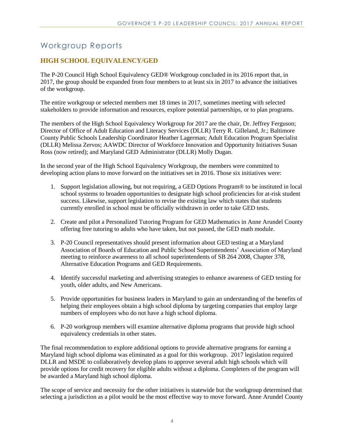# Workgroup Reports

# **HIGH SCHOOL EQUIVALENCY/GED**

The P-20 Council High School Equivalency GED® Workgroup concluded in its 2016 report that, in 2017, the group should be expanded from four members to at least six in 2017 to advance the initiatives of the workgroup.

The entire workgroup or selected members met 18 times in 2017, sometimes meeting with selected stakeholders to provide information and resources, explore potential partnerships, or to plan programs.

The members of the High School Equivalency Workgroup for 2017 are the chair, Dr. Jeffrey Ferguson; Director of Office of Adult Education and Literacy Services (DLLR) Terry R. Gilleland, Jr.; Baltimore County Public Schools Leadership Coordinator Heather Lagerman; Adult Education Program Specialist (DLLR) Melissa Zervos; AAWDC Director of Workforce Innovation and Opportunity Initiatives Susan Ross (now retired); and Maryland GED Administrator (DLLR) Molly Dugan.

In the second year of the High School Equivalency Workgroup, the members were committed to developing action plans to move forward on the initiatives set in 2016. Those six initiatives were:

- 1. Support legislation allowing, but not requiring, a GED Options Program® to be instituted in local school systems to broaden opportunities to designate high school proficiencies for at-risk student success. Likewise, support legislation to revise the existing law which states that students currently enrolled in school must be officially withdrawn in order to take GED tests.
- 2. Create and pilot a Personalized Tutoring Program for GED Mathematics in Anne Arundel County offering free tutoring to adults who have taken, but not passed, the GED math module.
- 3. P-20 Council representatives should present information about GED testing at a Maryland Association of Boards of Education and Public School Superintendents' Association of Maryland meeting to reinforce awareness to all school superintendents of SB 264 2008, Chapter 378, Alternative Education Programs and GED Requirements.
- 4. Identify successful marketing and advertising strategies to enhance awareness of GED testing for youth, older adults, and New Americans.
- 5. Provide opportunities for business leaders in Maryland to gain an understanding of the benefits of helping their employees obtain a high school diploma by targeting companies that employ large numbers of employees who do not have a high school diploma.
- 6. P-20 workgroup members will examine alternative diploma programs that provide high school equivalency credentials in other states.

The final recommendation to explore additional options to provide alternative programs for earning a Maryland high school diploma was eliminated as a goal for this workgroup. 2017 legislation required DLLR and MSDE to collaboratively develop plans to approve several adult high schools which will provide options for credit recovery for eligible adults without a diploma. Completers of the program will be awarded a Maryland high school diploma.

The scope of service and necessity for the other initiatives is statewide but the workgroup determined that selecting a jurisdiction as a pilot would be the most effective way to move forward. Anne Arundel County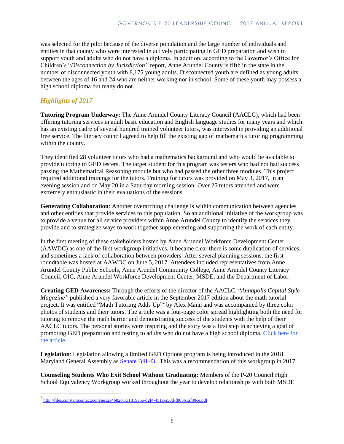was selected for the pilot because of the diverse population and the large number of individuals and entities in that county who were interested in actively participating in GED preparation and wish to support youth and adults who do not have a diploma. In addition, according to the Governor's Office for Children's "*Disconnection by Jurisdiction"* report, Anne Arundel County is fifth in the state in the number of disconnected youth with 8,175 young adults. Disconnected youth are defined as young adults between the ages of 16 and 24 who are neither working nor in school. Some of these youth may possess a high school diploma but many do not.

# *Highlights of 2017*

 $\overline{\phantom{a}}$ 

**Tutoring Program Underway:** The Anne Arundel County Literacy Council (AACLC), which had been offering tutoring services in adult basic education and English language studies for many years and which has an existing cadre of several hundred trained volunteer tutors, was interested in providing an additional free service. The literacy council agreed to help fill the existing gap of mathematics tutoring programming within the county.

They identified 28 volunteer tutors who had a mathematics background and who would be available to provide tutoring to GED testers. The target student for this program was testers who had not had success passing the Mathematical Reasoning module but who had passed the other three modules. This project required additional trainings for the tutors. Training for tutors was provided on May 3, 2017, in an evening session and on May 20 in a Saturday morning session. Over 25 tutors attended and were extremely enthusiastic in their evaluations of the sessions.

**Generating Collaboration**: Another overarching challenge is within communication between agencies and other entities that provide services to this population. So an additional initiative of the workgroup was to provide a venue for all service providers within Anne Arundel County to identify the services they provide and to strategize ways to work together supplementing and supporting the work of each entity.

In the first meeting of these stakeholders hosted by Anne Arundel Workforce Development Center (AAWDC) as one of the first workgroup initiatives, it became clear there is some duplication of services, and sometimes a lack of collaboration between providers. After several planning sessions, the first roundtable was hosted at AAWDC on June 5, 2017. Attendees included representatives from Anne Arundel County Public Schools, Anne Arundel Community College, Anne Arundel County Literacy Council, OIC, Anne Arundel Workforce Development Center, MSDE, and the Department of Labor.

**Creating GED Awareness:** Through the efforts of the director of the AACLC, "*Annapolis Capital Style Magazine"* published a very favorable article in the September 2017 edition about the math tutorial project. It was entitled "Math Tutoring Adds Up"<sup>2</sup> by Alex Mann and was accompanied by three color photos of students and their tutors. The article was a four-page color spread highlighting both the need for tutoring to remove the math barrier and demonstrating success of the students with the help of their AACLC tutors. The personal stories were inspiring and the story was a first step in achieving a goal of promoting GED preparation and testing to adults who do not have a high school diploma. Click here for the article.

**Legislation**: Legislation allowing a limited GED Options program is being introduced in the 2018 Maryland General Assembly as [Senate Bill 43.](http://mgaleg.maryland.gov/webmga/frmMain.aspx?id=sb0043&stab=01&pid=billpage&tab=subject3&ys=2018RS) This was a recommendation of this workgroup in 2017.

**Counseling Students Who Exit School Without Graduating:** Members of the P-20 Council High School Equivalency Workgroup worked throughout the year to develop relationships with both MSDE

<sup>2&</sup>lt;br><http://files.constantcontact.com/ae12e4b8201/31819a5e-d2f4-451c-a50d-f805b1af30ce.pdf>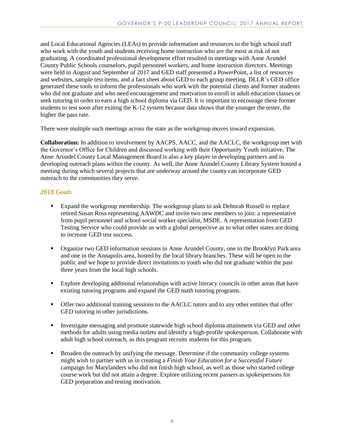and Local Educational Agencies (LEAs) to provide information and resources to the high school staff who work with the youth and students receiving home instruction who are the most at risk of not graduating. A coordinated professional development effort resulted in meetings with Anne Arundel County Public Schools counselors, pupil personnel workers, and home instruction directors. Meetings were held in August and September of 2017 and GED staff presented a PowerPoint, a list of resources and websites, sample test items, and a fact sheet about GED to each group meeting. DLLR's GED office generated these tools to inform the professionals who work with the potential clients and former students who did not graduate and who need encouragement and motivation to enroll in adult education classes or seek tutoring in order to earn a high school diploma via GED. It is important to encourage these former students to test soon after exiting the K-12 system because data shows that the younger the tester, the higher the pass rate.

There were multiple such meetings across the state as the workgroup moves toward expansion.

**Collaboration:** In addition to involvement by AACPS, AACC, and the AACLC, the workgroup met with the Governor's Office for Children and discussed working with their Opportunity Youth initiative. The Anne Arundel County Local Management Board is also a key player in developing partners and in developing outreach plans within the county. As well, the Anne Arundel County Library System hosted a meeting during which several projects that are underway around the county can incorporate GED outreach to the communities they serve.

#### *2018 Goals*

- Expand the workgroup membership. The workgroup plans to ask Deborah Russell to replace retired Susan Ross representing AAWDC and invite two new members to join: a representative from pupil personnel and school social worker specialist, MSDE. A representation from GED Testing Service who could provide us with a global perspective as to what other states are doing to increase GED test success.
- Organize two GED information sessions in Anne Arundel County, one in the Brooklyn Park area and one in the Annapolis area, hosted by the local library branches. These will be open to the public and we hope to provide direct invitations to youth who did not graduate within the past three years from the local high schools.
- **Explore developing additional relationships with active literacy councils in other areas that have** existing tutoring programs and expand the GED math tutoring programs.
- Offer two additional training sessions to the AACLC tutors and to any other entities that offer GED tutoring in other jurisdictions.
- Investigate messaging and promote statewide high school diploma attainment via GED and other methods for adults using media outlets and identify a high-profile spokesperson. Collaborate with adult high school outreach, as this program recruits students for this program.
- Broaden the outreach by unifying the message. Determine if the community college systems might wish to partner with us in creating a *Finish Your Education for a Successful Future* campaign for Marylanders who did not finish high school, as well as those who started college course work but did not attain a degree. Explore utilizing recent passers as spokespersons for GED preparation and testing motivation.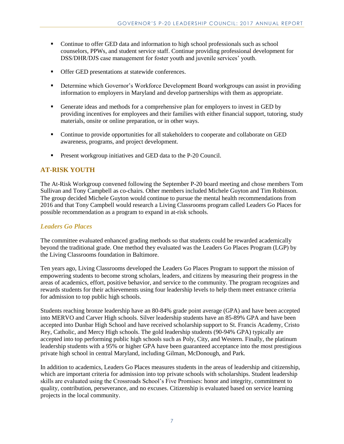- Continue to offer GED data and information to high school professionals such as school counselors, PPWs, and student service staff. Continue providing professional development for DSS/DHR/DJS case management for foster youth and juvenile services' youth.
- **Offer GED presentations at statewide conferences.**
- Determine which Governor's Workforce Development Board workgroups can assist in providing information to employers in Maryland and develop partnerships with them as appropriate.
- Generate ideas and methods for a comprehensive plan for employers to invest in GED by providing incentives for employees and their families with either financial support, tutoring, study materials, onsite or online preparation, or in other ways.
- Continue to provide opportunities for all stakeholders to cooperate and collaborate on GED awareness, programs, and project development.
- **Present workgroup initiatives and GED data to the P-20 Council.**

## **AT-RISK YOUTH**

The At-Risk Workgroup convened following the September P-20 board meeting and chose members Tom Sullivan and Tony Campbell as co-chairs. Other members included Michele Guyton and Tim Robinson. The group decided Michele Guyton would continue to pursue the mental health recommendations from 2016 and that Tony Campbell would research a Living Classrooms program called Leaders Go Places for possible recommendation as a program to expand in at-risk schools.

#### *Leaders Go Places*

The committee evaluated enhanced grading methods so that students could be rewarded academically beyond the traditional grade. One method they evaluated was the Leaders Go Places Program (LGP) by the Living Classrooms foundation in Baltimore.

Ten years ago, Living Classrooms developed the Leaders Go Places Program to support the mission of empowering students to become strong scholars, leaders, and citizens by measuring their progress in the areas of academics, effort, positive behavior, and service to the community. The program recognizes and rewards students for their achievements using four leadership levels to help them meet entrance criteria for admission to top public high schools.

Students reaching bronze leadership have an 80-84% grade point average (GPA) and have been accepted into MERVO and Carver High schools. Silver leadership students have an 85-89% GPA and have been accepted into Dunbar High School and have received scholarship support to St. Francis Academy, Cristo Rey, Catholic, and Mercy High schools. The gold leadership students (90-94% GPA) typically are accepted into top performing public high schools such as Poly, City, and Western. Finally, the platinum leadership students with a 95% or higher GPA have been guaranteed acceptance into the most prestigious private high school in central Maryland, including Gilman, McDonough, and Park.

In addition to academics, Leaders Go Places measures students in the areas of leadership and citizenship, which are important criteria for admission into top private schools with scholarships. Student leadership skills are evaluated using the Crossroads School's Five Promises: honor and integrity, commitment to quality, contribution, perseverance, and no excuses. Citizenship is evaluated based on service learning projects in the local community.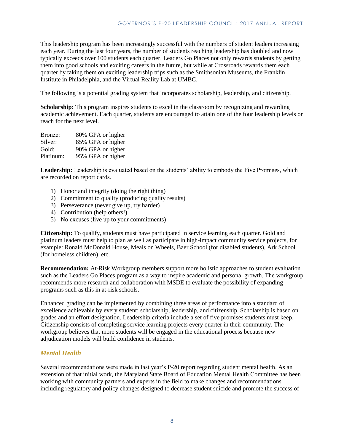This leadership program has been increasingly successful with the numbers of student leaders increasing each year. During the last four years, the number of students reaching leadership has doubled and now typically exceeds over 100 students each quarter. Leaders Go Places not only rewards students by getting them into good schools and exciting careers in the future, but while at Crossroads rewards them each quarter by taking them on exciting leadership trips such as the Smithsonian Museums, the Franklin Institute in Philadelphia, and the Virtual Reality Lab at UMBC.

The following is a potential grading system that incorporates scholarship, leadership, and citizenship.

**Scholarship:** This program inspires students to excel in the classroom by recognizing and rewarding academic achievement. Each quarter, students are encouraged to attain one of the four leadership levels or reach for the next level.

| Bronze:   | 80% GPA or higher |
|-----------|-------------------|
| Silver:   | 85% GPA or higher |
| Gold:     | 90% GPA or higher |
| Platinum: | 95% GPA or higher |

Leadership: Leadership is evaluated based on the students' ability to embody the Five Promises, which are recorded on report cards.

- 1) Honor and integrity (doing the right thing)
- 2) Commitment to quality (producing quality results)
- 3) Perseverance (never give up, try harder)
- 4) Contribution (help others!)
- 5) No excuses (live up to your commitments)

**Citizenship:** To qualify, students must have participated in service learning each quarter. Gold and platinum leaders must help to plan as well as participate in high-impact community service projects, for example: Ronald McDonald House, Meals on Wheels, Baer School (for disabled students), Ark School (for homeless children), etc.

**Recommendation:** At-Risk Workgroup members support more holistic approaches to student evaluation such as the Leaders Go Places program as a way to inspire academic and personal growth. The workgroup recommends more research and collaboration with MSDE to evaluate the possibility of expanding programs such as this in at-risk schools.

Enhanced grading can be implemented by combining three areas of performance into a standard of excellence achievable by every student: scholarship, leadership, and citizenship. Scholarship is based on grades and an effort designation. Leadership criteria include a set of five promises students must keep. Citizenship consists of completing service learning projects every quarter in their community. The workgroup believes that more students will be engaged in the educational process because new adjudication models will build confidence in students.

#### *Mental Health*

Several recommendations were made in last year's P-20 report regarding student mental health. As an extension of that initial work, the Maryland State Board of Education Mental Health Committee has been working with community partners and experts in the field to make changes and recommendations including regulatory and policy changes designed to decrease student suicide and promote the success of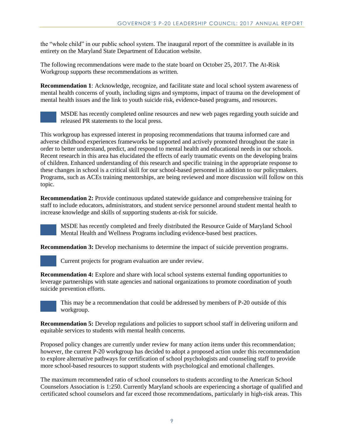the "whole child" in our public school system. The inaugural report of the committee is available in its entirety on the Maryland State Department of Education website.

The following recommendations were made to the state board on October 25, 2017. The At-Risk Workgroup supports these recommendations as written.

**Recommendation 1**: Acknowledge, recognize, and facilitate state and local school system awareness of mental health concerns of youth, including signs and symptoms, impact of trauma on the development of mental health issues and the link to youth suicide risk, evidence-based programs, and resources.



MSDE has recently completed online resources and new web pages regarding youth suicide and released PR statements to the local press.

This workgroup has expressed interest in proposing recommendations that trauma informed care and adverse childhood experiences frameworks be supported and actively promoted throughout the state in order to better understand, predict, and respond to mental health and educational needs in our schools. Recent research in this area has elucidated the effects of early traumatic events on the developing brains of children. Enhanced understanding of this research and specific training in the appropriate response to these changes in school is a critical skill for our school-based personnel in addition to our policymakers. Programs, such as ACEs training mentorships, are being reviewed and more discussion will follow on this topic.

**Recommendation 2:** Provide continuous updated statewide guidance and comprehensive training for staff to include educators, administrators, and student service personnel around student mental health to increase knowledge and skills of supporting students at-risk for suicide.



MSDE has recently completed and freely distributed the Resource Guide of Maryland School Mental Health and Wellness Programs including evidence-based best practices.

**Recommendation 3:** Develop mechanisms to determine the impact of suicide prevention programs.

Current projects for program evaluation are under review.

**Recommendation 4:** Explore and share with local school systems external funding opportunities to leverage partnerships with state agencies and national organizations to promote coordination of youth suicide prevention efforts.



This may be a recommendation that could be addressed by members of P-20 outside of this workgroup.

**Recommendation 5:** Develop regulations and policies to support school staff in delivering uniform and equitable services to students with mental health concerns.

Proposed policy changes are currently under review for many action items under this recommendation; however, the current P-20 workgroup has decided to adopt a proposed action under this recommendation to explore alternative pathways for certification of school psychologists and counseling staff to provide more school-based resources to support students with psychological and emotional challenges.

The maximum recommended ratio of school counselors to students according to the American School Counselors Association is 1:250. Currently Maryland schools are experiencing a shortage of qualified and certificated school counselors and far exceed those recommendations, particularly in high-risk areas. This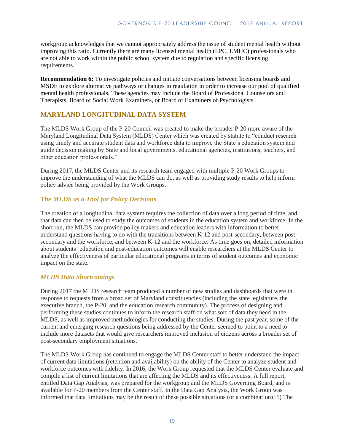workgroup acknowledges that we cannot appropriately address the issue of student mental health without improving this ratio. Currently there are many licensed mental health (LPC, LMHC) professionals who are not able to work within the public school system due to regulation and specific licensing requirements.

**Recommendation 6:** To investigate policies and initiate conversations between licensing boards and MSDE to explore alternative pathways or changes in regulation in order to increase our pool of qualified mental health professionals. These agencies may include the Board of Professional Counselors and Therapists, Board of Social Work Examiners, or Board of Examiners of Psychologists.

## **MARYLAND LONGITUDINAL DATA SYSTEM**

The MLDS Work Group of the P-20 Council was created to make the broader P-20 more aware of the Maryland Longitudinal Data System (MLDS) Center which was created by statute to "conduct research using timely and accurate student data and workforce data to improve the State's education system and guide decision making by State and local governments, educational agencies, institutions, teachers, and other education professionals."

During 2017, the MLDS Center and its research team engaged with multiple P-20 Work Groups to improve the understanding of what the MLDS can do, as well as providing study results to help inform policy advice being provided by the Work Groups.

#### *The MLDS as a Tool for Policy Decisions*

The creation of a longitudinal data system requires the collection of data over a long period of time, and that data can then be used to study the outcomes of students in the education system and workforce. In the short run, the MLDS can provide policy makers and education leaders with information to better understand questions having to do with the transitions between K-12 and post-secondary, between postsecondary and the workforce, and between K-12 and the workforce. As time goes on, detailed information about students' education and post-education outcomes will enable researchers at the MLDS Center to analyze the effectiveness of particular educational programs in terms of student outcomes and economic impact on the state.

#### *MLDS Data Shortcomings*

During 2017 the MLDS research team produced a number of new studies and dashboards that were in response to requests from a broad set of Maryland constituencies (including the state legislature, the executive branch, the P-20, and the education research community). The process of designing and performing these studies continues to inform the research staff on what sort of data they need in the MLDS, as well as improved methodologies for conducting the studies. During the past year, some of the current and emerging research questions being addressed by the Center seemed to point to a need to include more datasets that would give researchers improved inclusion of citizens across a broader set of post-secondary employment situations.

The MLDS Work Group has continued to engage the MLDS Center staff to better understand the impact of current data limitations (retention and availability) on the ability of the Center to analyze student and workforce outcomes with fidelity. In 2016, the Work Group requested that the MLDS Center evaluate and compile a list of current limitations that are affecting the MLDS and its effectiveness. A full report, entitled Data Gap Analysis, was prepared for the workgroup and the MLDS Governing Board, and is available for P-20 members from the Center staff. In the Data Gap Analysis, the Work Group was informed that data limitations may be the result of these possible situations (or a combination): 1) The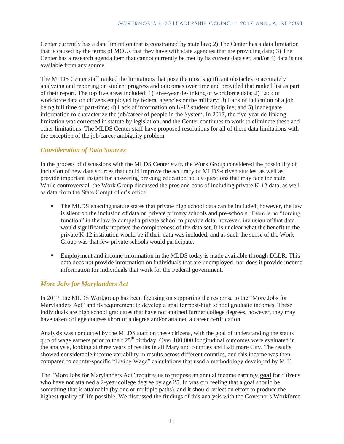Center currently has a data limitation that is constrained by state law; 2) The Center has a data limitation that is caused by the terms of MOUs that they have with state agencies that are providing data; 3) The Center has a research agenda item that cannot currently be met by its current data set; and/or 4) data is not available from any source.

The MLDS Center staff ranked the limitations that pose the most significant obstacles to accurately analyzing and reporting on student progress and outcomes over time and provided that ranked list as part of their report. The top five areas included: 1) Five-year de-linking of workforce data; 2) Lack of workforce data on citizens employed by federal agencies or the military; 3) Lack of indication of a job being full time or part-time; 4) Lack of information on K-12 student discipline; and 5) Inadequate information to characterize the job/career of people in the System. In 2017, the five-year de-linking limitation was corrected in statute by legislation, and the Center continues to work to eliminate these and other limitations. The MLDS Center staff have proposed resolutions for all of these data limitations with the exception of the job/career ambiguity problem.

#### *Consideration of Data Sources*

In the process of discussions with the MLDS Center staff, the Work Group considered the possibility of inclusion of new data sources that could improve the accuracy of MLDS-driven studies, as well as provide important insight for answering pressing education policy questions that may face the state. While controversial, the Work Group discussed the pros and cons of including private K-12 data, as well as data from the State Comptroller's office.

- The MLDS enacting statute states that private high school data can be included; however, the law is silent on the inclusion of data on private primary schools and pre-schools. There is no "forcing function" in the law to compel a private school to provide data, however, inclusion of that data would significantly improve the completeness of the data set. It is unclear what the benefit to the private K-12 institution would be if their data was included, and as such the sense of the Work Group was that few private schools would participate.
- Employment and income information in the MLDS today is made available through DLLR. This data does not provide information on individuals that are unemployed, nor does it provide income information for individuals that work for the Federal government.

#### *More Jobs for Marylanders Act*

In 2017, the MLDS Workgroup has been focusing on supporting the response to the "More Jobs for Marylanders Act" and its requirement to develop a goal for post-high school graduate incomes. These individuals are high school graduates that have not attained further college degrees, however, they may have taken college courses short of a degree and/or attained a career certification.

Analysis was conducted by the MLDS staff on these citizens, with the goal of understanding the status quo of wage earners prior to their  $25<sup>th</sup>$  birthday. Over 100,000 longitudinal outcomes were evaluated in the analysis, looking at three years of results in all Maryland counties and Baltimore City. The results showed considerable income variability in results across different counties, and this income was then compared to county-specific "Living Wage" calculations that used a methodology developed by MIT.

The "More Jobs for Marylanders Act" requires us to propose an annual income earnings **goal** for citizens who have not attained a 2-year college degree by age 25. In was our feeling that a goal should be something that is attainable (by one or multiple paths), and it should reflect an effort to produce the highest quality of life possible. We discussed the findings of this analysis with the Governor's Workforce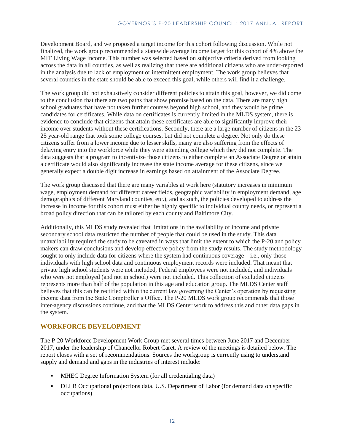Development Board, and we proposed a target income for this cohort following discussion. While not finalized, the work group recommended a statewide average income target for this cohort of 4% above the MIT Living Wage income. This number was selected based on subjective criteria derived from looking across the data in all counties, as well as realizing that there are additional citizens who are under-reported in the analysis due to lack of employment or intermittent employment. The work group believes that several counties in the state should be able to exceed this goal, while others will find it a challenge.

The work group did not exhaustively consider different policies to attain this goal, however, we did come to the conclusion that there are two paths that show promise based on the data. There are many high school graduates that have not taken further courses beyond high school, and they would be prime candidates for certificates. While data on certificates is currently limited in the MLDS system, there is evidence to conclude that citizens that attain these certificates are able to significantly improve their income over students without these certifications. Secondly, there are a large number of citizens in the 23- 25 year-old range that took some college courses, but did not complete a degree. Not only do these citizens suffer from a lower income due to lesser skills, many are also suffering from the effects of delaying entry into the workforce while they were attending college which they did not complete. The data suggests that a program to incentivize those citizens to either complete an Associate Degree or attain a certificate would also significantly increase the state income average for these citizens, since we generally expect a double digit increase in earnings based on attainment of the Associate Degree.

The work group discussed that there are many variables at work here (statutory increases in minimum wage, employment demand for different career fields, geographic variability in employment demand, age demographics of different Maryland counties, etc.), and as such, the policies developed to address the increase in income for this cohort must either be highly specific to individual county needs, or represent a broad policy direction that can be tailored by each county and Baltimore City.

Additionally, this MLDS study revealed that limitations in the availability of income and private secondary school data restricted the number of people that could be used in the study. This data unavailability required the study to be caveated in ways that limit the extent to which the P-20 and policy makers can draw conclusions and develop effective policy from the study results. The study methodology sought to only include data for citizens where the system had continuous coverage – i.e., only those individuals with high school data and continuous employment records were included. That meant that private high school students were not included, Federal employees were not included, and individuals who were not employed (and not in school) were not included. This collection of excluded citizens represents more than half of the population in this age and education group. The MLDS Center staff believes that this can be rectified within the current law governing the Center's operation by requesting income data from the State Comptroller's Office. The P-20 MLDS work group recommends that those inter-agency discussions continue, and that the MLDS Center work to address this and other data gaps in the system.

#### **WORKFORCE DEVELOPMENT**

The P-20 Workforce Development Work Group met several times between June 2017 and December 2017, under the leadership of Chancellor Robert Caret. A review of the meetings is detailed below. The report closes with a set of recommendations. Sources the workgroup is currently using to understand supply and demand and gaps in the industries of interest include:

- MHEC Degree Information System (for all credentialing data)
- DLLR Occupational projections data, U.S. Department of Labor (for demand data on specific occupations)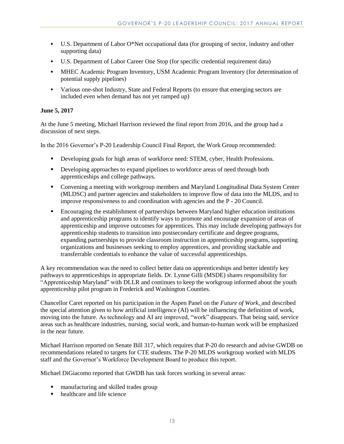- U.S. Department of Labor  $O^*$ Net occupational data (for grouping of sector, industry and other supporting data)
- U.S. Department of Labor Career One Stop (for specific credential requirement data)
- MHEC Academic Program Inventory, USM Academic Program Inventory (for determination of potential supply pipelines)
- Various one-shot Industry, State and Federal Reports (to ensure that emerging sectors are included even when demand has not yet ramped up)

#### **June 5, 2017**

At the June 5 meeting, Michael Harrison reviewed the final report from 2016, and the group had a discussion of next steps.

In the 2016 Governor's P-20 Leadership Council Final Report, the Work Group recommended:

- Developing goals for high areas of workforce need: STEM, cyber, Health Professions.
- **•** Developing approaches to expand pipelines to workforce areas of need through both apprenticeships and college pathways.
- Convening a meeting with workgroup members and Maryland Longitudinal Data System Center (MLDSC) and partner agencies and stakeholders to improve flow of data into the MLDS, and to improve responsiveness to and coordination with agencies and the P - 20 Council.
- Encouraging the establishment of partnerships between Maryland higher education institutions and apprenticeship programs to identify ways to promote and encourage expansion of areas of apprenticeship and improve outcomes for apprentices. This may include developing pathways for apprenticeship students to transition into postsecondary certificate and degree programs, expanding partnerships to provide classroom instruction in apprenticeship programs, supporting organizations and businesses seeking to employ apprentices, and providing stackable and transferrable credentials to enhance the value of successful apprenticeships.

A key recommendation was the need to collect better data on apprenticeships and better identify key pathways to apprenticeships in appropriate fields. Dr. Lynne Gilli (MSDE) shares responsibility for "Apprenticeship Maryland" with DLLR and continues to keep the workgroup informed about the youth apprenticeship pilot program in Frederick and Washington Counties.

Chancellor Caret reported on his participation in the Aspen Panel on the *Future of Work*, and described the special attention given to how artificial intelligence (AI) will be influencing the definition of work, moving into the future. As technology and AI are improved, "work" disappears. That being said, service areas such as healthcare industries, nursing, social work, and human-to-human work will be emphasized in the near future.

Michael Harrison reported on Senate Bill 317, which requires that P-20 do research and advise GWDB on recommendations related to targets for CTE students. The P-20 MLDS workgroup worked with MLDS staff and the Governor's Workforce Development Board to produce this report.

Michael DiGiacomo reported that GWDB has task forces working in several areas:

- manufacturing and skilled trades group
- $\blacksquare$  healthcare and life science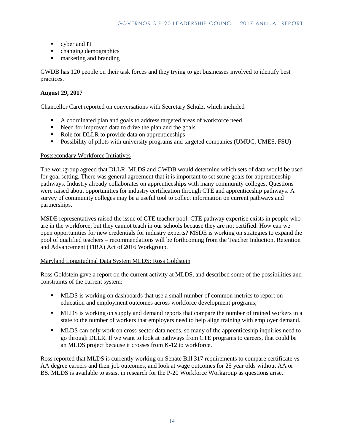- cyber and IT
- changing demographics
- **marketing and branding**

GWDB has 120 people on their task forces and they trying to get businesses involved to identify best practices.

#### **August 29, 2017**

Chancellor Caret reported on conversations with Secretary Schulz, which included

- A coordinated plan and goals to address targeted areas of workforce need
- Need for improved data to drive the plan and the goals
- Role for DLLR to provide data on apprenticeships
- Possibility of pilots with university programs and targeted companies (UMUC, UMES, FSU)

#### Postsecondary Workforce Initiatives

The workgroup agreed that DLLR, MLDS and GWDB would determine which sets of data would be used for goal setting. There was general agreement that it is important to set some goals for apprenticeship pathways. Industry already collaborates on apprenticeships with many community colleges. Questions were raised about opportunities for industry certification through CTE and apprenticeship pathways. A survey of community colleges may be a useful tool to collect information on current pathways and partnerships.

MSDE representatives raised the issue of CTE teacher pool. CTE pathway expertise exists in people who are in the workforce, but they cannot teach in our schools because they are not certified. How can we open opportunities for new credentials for industry experts? MSDE is working on strategies to expand the pool of qualified teachers – recommendations will be forthcoming from the Teacher Induction, Retention and Advancement (TIRA) Act of 2016 Workgroup.

#### Maryland Longitudinal Data System MLDS: Ross Goldstein

Ross Goldstein gave a report on the current activity at MLDS, and described some of the possibilities and constraints of the current system:

- MLDS is working on dashboards that use a small number of common metrics to report on education and employment outcomes across workforce development programs;
- MLDS is working on supply and demand reports that compare the number of trained workers in a state to the number of workers that employers need to help align training with employer demand.
- **MLDS** can only work on cross-sector data needs, so many of the apprenticeship inquiries need to go through DLLR. If we want to look at pathways from CTE programs to careers, that could be an MLDS project because it crosses from K-12 to workforce.

Ross reported that MLDS is currently working on Senate Bill 317 requirements to compare certificate vs AA degree earners and their job outcomes, and look at wage outcomes for 25 year olds without AA or BS. MLDS is available to assist in research for the P-20 Workforce Workgroup as questions arise.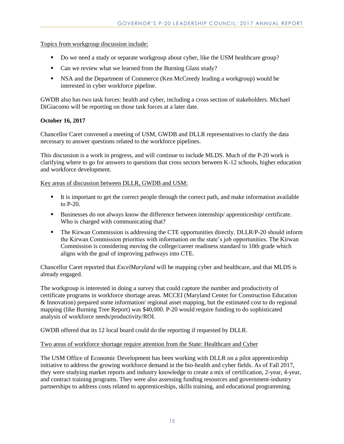Topics from workgroup discussion include:

- Do we need a study or separate workgroup about cyber, like the USM healthcare group?
- Can we review what we learned from the Burning Glass study?
- NSA and the Department of Commerce (Ken McCreedy leading a workgroup) would be interested in cyber workforce pipeline.

GWDB also has two task forces: health and cyber, including a cross section of stakeholders. Michael DiGiacomo will be reporting on those task forces at a later date.

#### **October 16, 2017**

Chancellor Caret convened a meeting of USM, GWDB and DLLR representatives to clarify the data necessary to answer questions related to the workforce pipelines.

This discussion is a work in progress, and will continue to include MLDS. Much of the P-20 work is clarifying where to go for answers to questions that cross sectors between K-12 schools, higher education and workforce development.

Key areas of discussion between DLLR, GWDB and USM:

- It is important to get the correct people through the correct path, and make information available to P-20.
- Businesses do not always know the difference between internship/ apprenticeship/ certificate. Who is charged with communicating that?
- The Kirwan Commission is addressing the CTE opportunities directly. DLLR/P-20 should inform the Kirwan Commission priorities with information on the state's job opportunities. The Kirwan Commission is considering moving the college/career readiness standard to 10th grade which aligns with the goal of improving pathways into CTE.

Chancellor Caret reported that *ExcelMaryland* will be mapping cyber and healthcare, and that MLDS is already engaged.

The workgroup is interested in doing a survey that could capture the number and productivity of certificate programs in workforce shortage areas. MCCEI (Maryland Center for Construction Education & Innovation) prepared some information/ regional asset mapping, but the estimated cost to do regional mapping (like Burning Tree Report) was \$40,000. P-20 would require funding to do sophisticated analysis of workforce needs/productivity/ROI.

GWDB offered that its 12 local board could do the reporting if requested by DLLR.

#### Two areas of workforce shortage require attention from the State: Healthcare and Cyber

The USM Office of Economic Development has been working with DLLR on a pilot apprenticeship initiative to address the growing workforce demand in the bio-health and cyber fields. As of Fall 2017, they were studying market reports and industry knowledge to create a mix of certification, 2-year, 4-year, and contract training programs. They were also assessing funding resources and government-industry partnerships to address costs related to apprenticeships, skills training, and educational programming.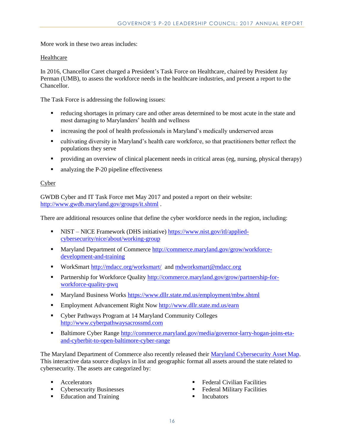More work in these two areas includes:

#### Healthcare

In 2016, Chancellor Caret charged a President's Task Force on Healthcare, chaired by President Jay Perman (UMB), to assess the workforce needs in the healthcare industries, and present a report to the Chancellor.

The Task Force is addressing the following issues:

- reducing shortages in primary care and other areas determined to be most acute in the state and most damaging to Marylanders' health and wellness
- increasing the pool of health professionals in Maryland's medically underserved areas
- cultivating diversity in Maryland's health care workforce, so that practitioners better reflect the populations they serve
- providing an overview of clinical placement needs in critical areas (eg, nursing, physical therapy)
- analyzing the P-20 pipeline effectiveness

#### Cyber

GWDB Cyber and IT Task Force met May 2017 and posted a report on their website: <http://www.gwdb.maryland.gov/groups/it.shtml> .

There are additional resources online that define the cyber workforce needs in the region, including:

- NIST NICE Framework (DHS initiative) [https://www.nist.gov/itl/applied](https://www.nist.gov/itl/applied-cybersecurity/nice/about/working-group)[cybersecurity/nice/about/working-group](https://www.nist.gov/itl/applied-cybersecurity/nice/about/working-group)
- Maryland Department of Commerce [http://commerce.maryland.gov/grow/workforce](http://commerce.maryland.gov/grow/workforce-development-and-training)[development-and-training](http://commerce.maryland.gov/grow/workforce-development-and-training)
- WorkSmart<http://mdacc.org/worksmart/>and [mdworksmart@mdacc.org](mailto:mdworksmart@mdacc.org)
- **Partnership for Workforce Quality [http://commerce.maryland.gov/grow/partnership-for](http://commerce.maryland.gov/grow/partnership-for-workforce-quality-pwq)**[workforce-quality-pwq](http://commerce.maryland.gov/grow/partnership-for-workforce-quality-pwq)
- Maryland Business Works<https://www.dllr.state.md.us/employment/mbw.shtml>
- **Employment Advancement Right No[w http://www.dllr.state.md.us/earn](http://www.dllr.state.md.us/earn)**
- Cyber Pathways Program at 14 Maryland Community Colleges [http://www.cyberpathwaysacrossmd.com](http://www.cyberpathwaysacrossmd.com/)
- Baltimore Cyber Range [http://commerce.maryland.gov/media/governor-larry-hogan-joins-eta](http://commerce.maryland.gov/media/governor-larry-hogan-joins-eta-and-cyberbit-to-open-baltimore-cyber-range)[and-cyberbit-to-open-baltimore-cyber-range](http://commerce.maryland.gov/media/governor-larry-hogan-joins-eta-and-cyberbit-to-open-baltimore-cyber-range)

The Maryland Department of Commerce also recently released their [Maryland Cybersecurity Asset Map.](http://eagb.maps.arcgis.com/apps/MapSeries/index.html?appid=f1480443ee5d4fbabd710890431a5af4) This interactive data source displays in list and geographic format all assets around the state related to cybersecurity. The assets are categorized by:

- **Accelerators**
- **Cybersecurity Businesses**
- Education and Training
- Federal Civilian Facilities
- Federal Military Facilities
- **Incubators**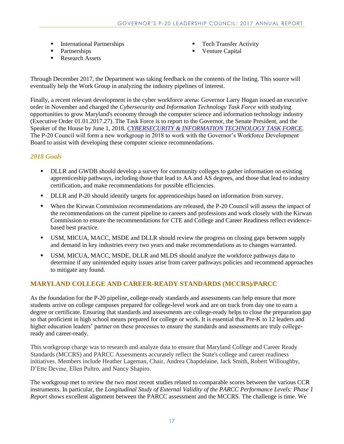- **International Partnerships**
- Partnerships
- Research Assets
- Tech Transfer Activity
- **•** Venture Capital

Through December 2017, the Department was taking feedback on the contents of the listing. This source will eventually help the Work Group in analyzing the industry pipelines of interest.

Finally, a recent relevant development in the cyber workforce arena: Governor Larry Hogan issued an executive order in November and charged the *Cybersecurity and Information Technology Task Force* with studying opportunities to grow Maryland's economy through the computer science and information technology industry (Executive Order 01.01.2017.27). The Task Force is to report to the Governor, the Senate President, and the Speaker of the House by June 1, 2018. *[CYBERSECURITY & INFORMATION TECHNOLOGY TASK FORCE](http://msa.maryland.gov/msa/mdmanual/25ind/html/80wo.html#cyber)*. The P-20 Council will form a new workgroup in 2018 to work with the Governor's Workforce Development Board to assist with developing these computer science recommendations.

## *2018 Goals*

- DLLR and GWDB should develop a survey for community colleges to gather information on existing apprenticeship pathways, including those that lead to AA and AS degrees, and those that lead to industry certification, and make recommendations for possible efficiencies.
- DLLR and P-20 should identify targets for apprenticeships based on information from survey.
- When the Kirwan Commission recommendations are released, the P-20 Council will assess the impact of the recommendations on the current pipeline to careers and professions and work closely with the Kirwan Commission to ensure the recommendations for CTE and College and Career Readiness reflect evidencebased best practice.
- USM, MICUA, MACC, MSDE and DLLR should review the progress on closing gaps between supply and demand in key industries every two years and make recommendations as to changes warranted.
- USM, MICUA, MACC, MSDE, DLLR and MLDS should analyze the workforce pathways data to determine if any unintended equity issues arise from career pathways policies and recommend approaches to mitigate any found.

## **MARYLAND COLLEGE AND CAREER-READY STANDARDS (MCCRS)/PARCC**

As the foundation for the P-20 pipeline, college-ready standards and assessments can help ensure that more students arrive on college campuses prepared for college-level work and are on track from day one to earn a degree or certificate. Ensuring that standards and assessments are college-ready helps to close the preparation gap so that proficient in high school means prepared for college or work. It is essential that Pre-K to 12 leaders and higher education leaders' partner on these processes to ensure the standards and assessments are truly collegeready and career-ready.

This workgroup charge was to research and analyze data to ensure that Maryland College and Career Ready Standards (MCCRS) and PARCC Assessments accurately reflect the State's college and career readiness initiatives. Members include Heather Lageman, Chair, Andrea Chapdelaine, Jack Smith, Robert Willoughby, D'Ette Devine, Ellen Pultro, and Nancy Shapiro.

The workgroup met to review the two most recent studies related to comparable scores between the various CCR instruments. In particular, the *Longitudinal Study of External Validity of the PARCC Performance Levels: Phase 1 Report* shows excellent alignment between the PARCC assessment and the MCCRS. The challenge is time. We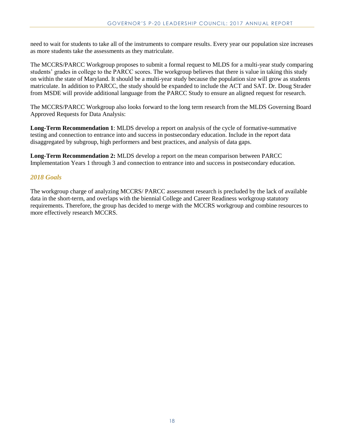need to wait for students to take all of the instruments to compare results. Every year our population size increases as more students take the assessments as they matriculate.

The MCCRS/PARCC Workgroup proposes to submit a formal request to MLDS for a multi-year study comparing students' grades in college to the PARCC scores. The workgroup believes that there is value in taking this study on within the state of Maryland. It should be a multi-year study because the population size will grow as students matriculate. In addition to PARCC, the study should be expanded to include the ACT and SAT. Dr. Doug Strader from MSDE will provide additional language from the PARCC Study to ensure an aligned request for research.

The MCCRS/PARCC Workgroup also looks forward to the long term research from the MLDS Governing Board Approved Requests for Data Analysis:

**Long-Term Recommendation 1**: MLDS develop a report on analysis of the cycle of formative-summative testing and connection to entrance into and success in postsecondary education. Include in the report data disaggregated by subgroup, high performers and best practices, and analysis of data gaps.

**Long-Term Recommendation 2:** MLDS develop a report on the mean comparison between PARCC Implementation Years 1 through 3 and connection to entrance into and success in postsecondary education.

#### *2018 Goals*

The workgroup charge of analyzing MCCRS/ PARCC assessment research is precluded by the lack of available data in the short-term, and overlaps with the biennial College and Career Readiness workgroup statutory requirements. Therefore, the group has decided to merge with the MCCRS workgroup and combine resources to more effectively research MCCRS.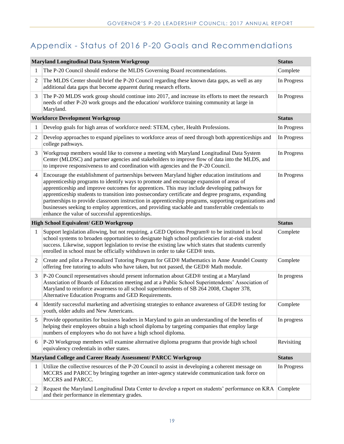# Appendix - Status of 2016 P-20 Goals and Recommendations

|                | <b>Maryland Longitudinal Data System Workgroup</b>                                                                                                                                                                                                                                                                                                                                                                                                                                                                                                                                                                                                                    | <b>Status</b> |
|----------------|-----------------------------------------------------------------------------------------------------------------------------------------------------------------------------------------------------------------------------------------------------------------------------------------------------------------------------------------------------------------------------------------------------------------------------------------------------------------------------------------------------------------------------------------------------------------------------------------------------------------------------------------------------------------------|---------------|
| 1              | The P-20 Council should endorse the MLDS Governing Board recommendations.                                                                                                                                                                                                                                                                                                                                                                                                                                                                                                                                                                                             | Complete      |
| $\mathfrak{2}$ | The MLDS Center should brief the P-20 Council regarding these known data gaps, as well as any<br>additional data gaps that become apparent during research efforts.                                                                                                                                                                                                                                                                                                                                                                                                                                                                                                   | In Progress   |
| 3              | The P-20 MLDS work group should continue into 2017, and increase its efforts to meet the research<br>needs of other P-20 work groups and the education/workforce training community at large in<br>Maryland.                                                                                                                                                                                                                                                                                                                                                                                                                                                          | In Progress   |
|                | <b>Workforce Development Workgroup</b>                                                                                                                                                                                                                                                                                                                                                                                                                                                                                                                                                                                                                                | <b>Status</b> |
| 1              | Develop goals for high areas of workforce need: STEM, cyber, Health Professions.                                                                                                                                                                                                                                                                                                                                                                                                                                                                                                                                                                                      | In Progress   |
| $\overline{c}$ | Develop approaches to expand pipelines to workforce areas of need through both apprenticeships and<br>college pathways.                                                                                                                                                                                                                                                                                                                                                                                                                                                                                                                                               | In Progress   |
| 3              | Workgroup members would like to convene a meeting with Maryland Longitudinal Data System<br>Center (MLDSC) and partner agencies and stakeholders to improve flow of data into the MLDS, and<br>to improve responsiveness to and coordination with agencies and the P-20 Council.                                                                                                                                                                                                                                                                                                                                                                                      | In Progress   |
| $\overline{4}$ | Encourage the establishment of partnerships between Maryland higher education institutions and<br>apprenticeship programs to identify ways to promote and encourage expansion of areas of<br>apprenticeship and improve outcomes for apprentices. This may include developing pathways for<br>apprenticeship students to transition into postsecondary certificate and degree programs, expanding<br>partnerships to provide classroom instruction in apprenticeship programs, supporting organizations and<br>businesses seeking to employ apprentices, and providing stackable and transferrable credentials to<br>enhance the value of successful apprenticeships. | In Progress   |
|                | <b>High School Equivalent/ GED Workgroup</b>                                                                                                                                                                                                                                                                                                                                                                                                                                                                                                                                                                                                                          | <b>Status</b> |
| 1              | Support legislation allowing, but not requiring, a GED Options Program® to be instituted in local<br>school systems to broaden opportunities to designate high school proficiencies for at-risk student<br>success. Likewise, support legislation to revise the existing law which states that students currently<br>enrolled in school must be officially withdrawn in order to take GED® tests.                                                                                                                                                                                                                                                                     | Complete      |
| 2              | Create and pilot a Personalized Tutoring Program for GED® Mathematics in Anne Arundel County<br>offering free tutoring to adults who have taken, but not passed, the GED® Math module.                                                                                                                                                                                                                                                                                                                                                                                                                                                                                | Complete      |
| 3              | P-20 Council representatives should present information about GED® testing at a Maryland<br>Association of Boards of Education meeting and at a Public School Superintendents' Association of<br>Maryland to reinforce awareness to all school superintendents of SB 264 2008, Chapter 378,<br>Alternative Education Programs and GED Requirements.                                                                                                                                                                                                                                                                                                                   | In progress   |
| 4              | Identify successful marketing and advertising strategies to enhance awareness of GED® testing for<br>youth, older adults and New Americans.                                                                                                                                                                                                                                                                                                                                                                                                                                                                                                                           | Complete      |
| 5              | Provide opportunities for business leaders in Maryland to gain an understanding of the benefits of<br>helping their employees obtain a high school diploma by targeting companies that employ large<br>numbers of employees who do not have a high school diploma.                                                                                                                                                                                                                                                                                                                                                                                                    | In progress   |
| 6              | P-20 Workgroup members will examine alternative diploma programs that provide high school<br>equivalency credentials in other states.                                                                                                                                                                                                                                                                                                                                                                                                                                                                                                                                 | Revisiting    |
|                | Maryland College and Career Ready Assessment/ PARCC Workgroup                                                                                                                                                                                                                                                                                                                                                                                                                                                                                                                                                                                                         | <b>Status</b> |
| 1              | Utilize the collective resources of the P-20 Council to assist in developing a coherent message on<br>MCCRS and PARCC by bringing together an inter-agency statewide communication task force on<br><b>MCCRS</b> and PARCC.                                                                                                                                                                                                                                                                                                                                                                                                                                           | In Progress   |
| 2              | Request the Maryland Longitudinal Data Center to develop a report on students' performance on KRA<br>and their performance in elementary grades.                                                                                                                                                                                                                                                                                                                                                                                                                                                                                                                      | Complete      |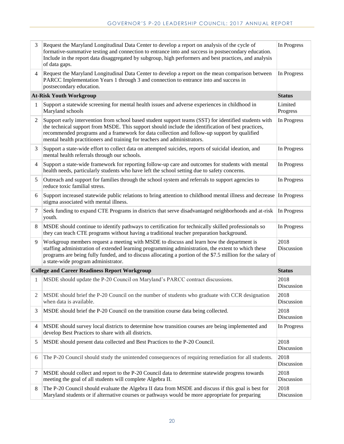| 3              | Request the Maryland Longitudinal Data Center to develop a report on analysis of the cycle of<br>formative-summative testing and connection to entrance into and success in postsecondary education.<br>Include in the report data disaggregated by subgroup, high performers and best practices, and analysis<br>of data gaps.                                                         | In Progress         |
|----------------|-----------------------------------------------------------------------------------------------------------------------------------------------------------------------------------------------------------------------------------------------------------------------------------------------------------------------------------------------------------------------------------------|---------------------|
| 4              | Request the Maryland Longitudinal Data Center to develop a report on the mean comparison between<br>PARCC Implementation Years 1 through 3 and connection to entrance into and success in<br>postsecondary education.                                                                                                                                                                   | In Progress         |
|                | <b>At-Risk Youth Workgroup</b>                                                                                                                                                                                                                                                                                                                                                          | <b>Status</b>       |
| 1              | Support a statewide screening for mental health issues and adverse experiences in childhood in<br>Maryland schools                                                                                                                                                                                                                                                                      | Limited<br>Progress |
| $\overline{2}$ | Support early intervention from school based student support teams (SST) for identified students with<br>the technical support from MSDE. This support should include the identification of best practices,<br>recommended programs and a framework for data collection and follow-up support by qualified<br>mental health practitioners and training for teachers and administrators. | In Progress         |
| 3              | Support a state-wide effort to collect data on attempted suicides, reports of suicidal ideation, and<br>mental health referrals through our schools.                                                                                                                                                                                                                                    | In Progress         |
| $\overline{4}$ | Support a state-wide framework for reporting follow-up care and outcomes for students with mental<br>health needs, particularly students who have left the school setting due to safety concerns.                                                                                                                                                                                       | In Progress         |
| 5              | Outreach and support for families through the school system and referrals to support agencies to<br>reduce toxic familial stress.                                                                                                                                                                                                                                                       | In Progress         |
| 6              | Support increased statewide public relations to bring attention to childhood mental illness and decrease<br>stigma associated with mental illness.                                                                                                                                                                                                                                      | In Progress         |
| $\tau$         | Seek funding to expand CTE Programs in districts that serve disadvantaged neighborhoods and at-risk<br>youth.                                                                                                                                                                                                                                                                           | In Progress         |
| 8              | MSDE should continue to identify pathways to certification for technically skilled professionals so<br>they can teach CTE programs without having a traditional teacher preparation background.                                                                                                                                                                                         | In Progress         |
| 9              | Workgroup members request a meeting with MSDE to discuss and learn how the department is<br>staffing administration of extended learning programming administration, the extent to which these<br>programs are being fully funded, and to discuss allocating a portion of the \$7.5 million for the salary of<br>a state-wide program administrator.                                    | 2018<br>Discussion  |
|                | <b>College and Career Readiness Report Workgroup</b>                                                                                                                                                                                                                                                                                                                                    | <b>Status</b>       |
| 1              |                                                                                                                                                                                                                                                                                                                                                                                         |                     |
|                | MSDE should update the P-20 Council on Maryland's PARCC contract discussions.                                                                                                                                                                                                                                                                                                           | 2018<br>Discussion  |
| 2              | MSDE should brief the P-20 Council on the number of students who graduate with CCR designation<br>when data is available.                                                                                                                                                                                                                                                               | 2018<br>Discussion  |
| 3              | MSDE should brief the P-20 Council on the transition course data being collected.                                                                                                                                                                                                                                                                                                       | 2018<br>Discussion  |
| 4              | MSDE should survey local districts to determine how transition courses are being implemented and<br>develop Best Practices to share with all districts.                                                                                                                                                                                                                                 | In Progress         |
| 5              | MSDE should present data collected and Best Practices to the P-20 Council.                                                                                                                                                                                                                                                                                                              | 2018<br>Discussion  |
| 6              | The P-20 Council should study the unintended consequences of requiring remediation for all students.                                                                                                                                                                                                                                                                                    | 2018<br>Discussion  |
| 7              | MSDE should collect and report to the P-20 Council data to determine statewide progress towards<br>meeting the goal of all students will complete Algebra II.                                                                                                                                                                                                                           | 2018<br>Discussion  |